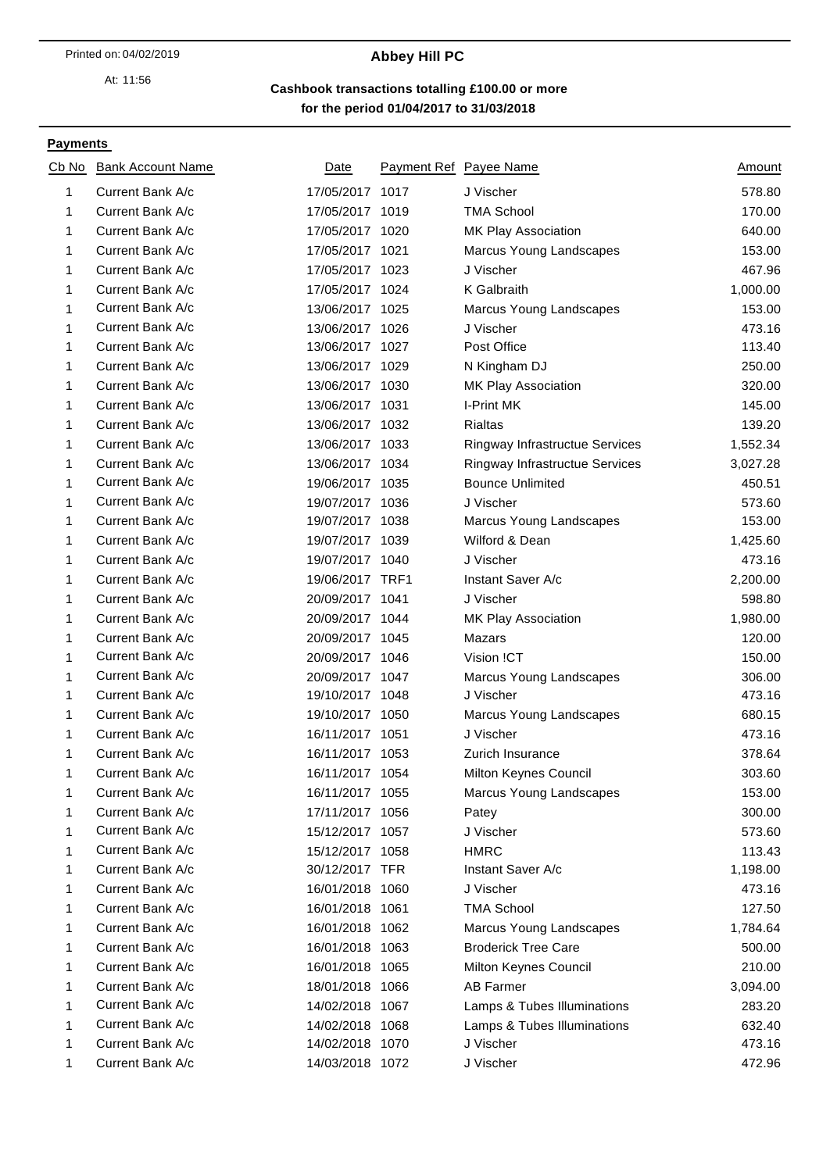At: 11:56

## 04/02/2019 **Abbey Hill PC**

**for the period 01/04/2017 to 31/03/2018 Cashbook transactions totalling £100.00 or more**

### **Payments**

| Cb No | <b>Bank Account Name</b> | Date            | Payment Ref Payee Name         | Amount   |
|-------|--------------------------|-----------------|--------------------------------|----------|
| 1     | Current Bank A/c         | 17/05/2017 1017 | J Vischer                      | 578.80   |
| 1     | Current Bank A/c         | 17/05/2017 1019 | <b>TMA School</b>              | 170.00   |
| 1     | Current Bank A/c         | 17/05/2017 1020 | MK Play Association            | 640.00   |
| 1     | Current Bank A/c         | 17/05/2017 1021 | Marcus Young Landscapes        | 153.00   |
| 1     | Current Bank A/c         | 17/05/2017 1023 | J Vischer                      | 467.96   |
| 1     | Current Bank A/c         | 17/05/2017 1024 | K Galbraith                    | 1,000.00 |
| 1     | Current Bank A/c         | 13/06/2017 1025 | Marcus Young Landscapes        | 153.00   |
| 1     | Current Bank A/c         | 13/06/2017 1026 | J Vischer                      | 473.16   |
| 1     | Current Bank A/c         | 13/06/2017 1027 | Post Office                    | 113.40   |
| 1     | Current Bank A/c         | 13/06/2017 1029 | N Kingham DJ                   | 250.00   |
| 1     | Current Bank A/c         | 13/06/2017 1030 | MK Play Association            | 320.00   |
| 1     | Current Bank A/c         | 13/06/2017 1031 | I-Print MK                     | 145.00   |
| 1     | Current Bank A/c         | 13/06/2017 1032 | <b>Rialtas</b>                 | 139.20   |
| 1     | Current Bank A/c         | 13/06/2017 1033 | Ringway Infrastructue Services | 1,552.34 |
| 1     | Current Bank A/c         | 13/06/2017 1034 | Ringway Infrastructue Services | 3,027.28 |
| 1     | Current Bank A/c         | 19/06/2017 1035 | <b>Bounce Unlimited</b>        | 450.51   |
| 1     | Current Bank A/c         | 19/07/2017 1036 | J Vischer                      | 573.60   |
| 1     | Current Bank A/c         | 19/07/2017 1038 | Marcus Young Landscapes        | 153.00   |
| 1     | Current Bank A/c         | 19/07/2017 1039 | Wilford & Dean                 | 1,425.60 |
| 1     | Current Bank A/c         | 19/07/2017 1040 | J Vischer                      | 473.16   |
| 1     | Current Bank A/c         | 19/06/2017 TRF1 | Instant Saver A/c              | 2,200.00 |
| 1     | Current Bank A/c         | 20/09/2017 1041 | J Vischer                      | 598.80   |
| 1     | Current Bank A/c         | 20/09/2017 1044 | MK Play Association            | 1,980.00 |
| 1     | Current Bank A/c         | 20/09/2017 1045 | Mazars                         | 120.00   |
| 1     | Current Bank A/c         | 20/09/2017 1046 | Vision !CT                     | 150.00   |
| 1     | Current Bank A/c         | 20/09/2017 1047 | Marcus Young Landscapes        | 306.00   |
| 1     | Current Bank A/c         | 19/10/2017 1048 | J Vischer                      | 473.16   |
| 1     | Current Bank A/c         | 19/10/2017 1050 | Marcus Young Landscapes        | 680.15   |
| 1     | Current Bank A/c         | 16/11/2017 1051 | J Vischer                      | 473.16   |
| 1     | Current Bank A/c         | 16/11/2017 1053 | Zurich Insurance               | 378.64   |
| 1     | Current Bank A/c         | 16/11/2017 1054 | Milton Keynes Council          | 303.60   |
| 1     | Current Bank A/c         | 16/11/2017 1055 | Marcus Young Landscapes        | 153.00   |
| 1     | Current Bank A/c         | 17/11/2017 1056 | Patey                          | 300.00   |
| 1     | Current Bank A/c         | 15/12/2017 1057 | J Vischer                      | 573.60   |
| 1     | Current Bank A/c         | 15/12/2017 1058 | <b>HMRC</b>                    | 113.43   |
| 1     | Current Bank A/c         | 30/12/2017 TFR  | Instant Saver A/c              | 1,198.00 |
| 1     | Current Bank A/c         | 16/01/2018 1060 | J Vischer                      | 473.16   |
| 1     | Current Bank A/c         | 16/01/2018 1061 | <b>TMA School</b>              | 127.50   |
| 1     | Current Bank A/c         | 16/01/2018 1062 | Marcus Young Landscapes        | 1,784.64 |
| 1     | Current Bank A/c         | 16/01/2018 1063 | <b>Broderick Tree Care</b>     | 500.00   |
| 1     | Current Bank A/c         | 16/01/2018 1065 | Milton Keynes Council          | 210.00   |
| 1     | Current Bank A/c         | 18/01/2018 1066 | <b>AB Farmer</b>               | 3,094.00 |
| 1     | Current Bank A/c         | 14/02/2018 1067 | Lamps & Tubes Illuminations    | 283.20   |
| 1     | Current Bank A/c         | 14/02/2018 1068 | Lamps & Tubes Illuminations    | 632.40   |
| 1     | Current Bank A/c         | 14/02/2018 1070 | J Vischer                      | 473.16   |
| 1     | Current Bank A/c         | 14/03/2018 1072 | J Vischer                      | 472.96   |